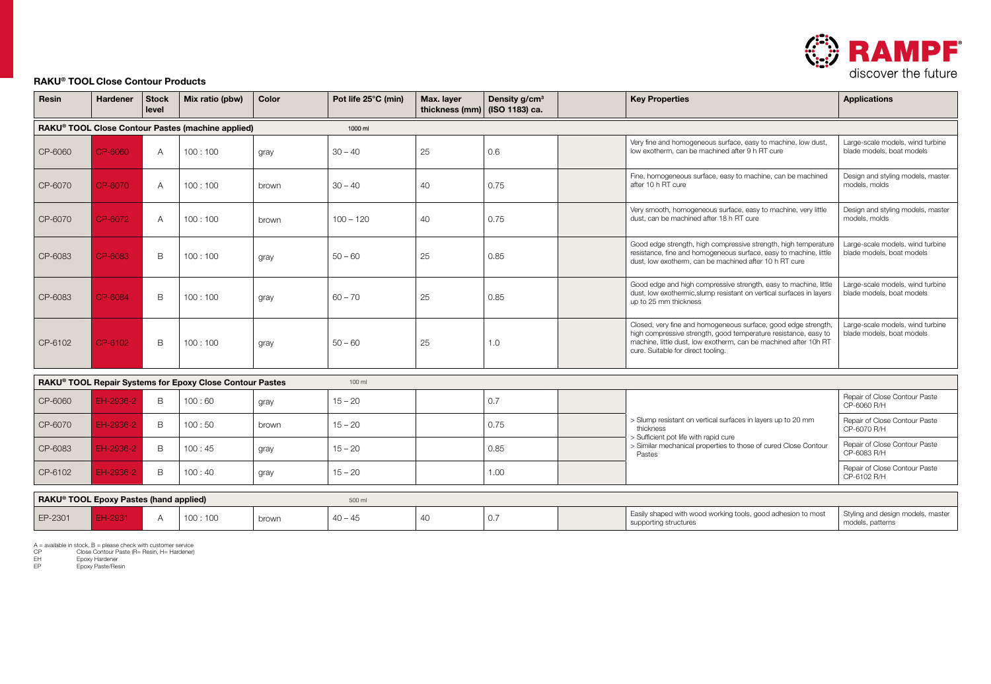

## RAKU® TOOL Close Contour Products

| Resin                                                                          | <b>Hardener</b> | Stock<br>level | Mix ratio (pbw) | Color | Pot life 25°C (min) | Max. layer<br>thickness (mm) | Density g/cm <sup>3</sup><br>(ISO 1183) ca. |  | <b>Key Properties</b>                                                                                                                                                                                                                       | <b>Applications</b>                                           |
|--------------------------------------------------------------------------------|-----------------|----------------|-----------------|-------|---------------------|------------------------------|---------------------------------------------|--|---------------------------------------------------------------------------------------------------------------------------------------------------------------------------------------------------------------------------------------------|---------------------------------------------------------------|
| RAKU® TOOL Close Contour Pastes (machine applied)<br>1000 ml                   |                 |                |                 |       |                     |                              |                                             |  |                                                                                                                                                                                                                                             |                                                               |
| CP-6060                                                                        | CP-6060         | $\overline{A}$ | 100:100         | gray  | $30 - 40$           | 25                           | 0.6                                         |  | Very fine and homogeneous surface, easy to machine, low dust,<br>low exotherm, can be machined after 9 h RT cure                                                                                                                            | Large-scale models, wind turbine<br>blade models, boat models |
| CP-6070                                                                        | CP-6070         | A              | 100:100         | brown | $30 - 40$           | 40                           | 0.75                                        |  | Fine, homogeneous surface, easy to machine, can be machined<br>after 10 h RT cure                                                                                                                                                           | Design and styling models, master<br>models, molds            |
| CP-6070                                                                        | CP-6072         | $\overline{A}$ | 100:100         | brown | $100 - 120$         | 40                           | 0.75                                        |  | Very smooth, homogeneous surface, easy to machine, very little<br>dust, can be machined after 18 h RT cure                                                                                                                                  | Design and styling models, master<br>models, molds            |
| CP-6083                                                                        | CP-6083         | B              | 100:100         | gray  | $50 - 60$           | 25                           | 0.85                                        |  | Good edge strength, high compressive strength, high temperature<br>resistance, fine and homogeneous surface, easy to machine, little<br>dust, low exotherm, can be machined after 10 h RT cure                                              | Large-scale models, wind turbine<br>blade models, boat models |
| CP-6083                                                                        | CP-6084         | B              | 100:100         | gray  | $60 - 70$           | 25                           | 0.85                                        |  | Good edge and high compressive strength, easy to machine, little<br>dust, low exothermic, slump resistant on vertical surfaces in layers<br>up to 25 mm thickness                                                                           | Large-scale models, wind turbine<br>blade models, boat models |
| CP-6102                                                                        | CP-6102         | B              | 100:100         | gray  | $50 - 60$           | 25                           | 1.0                                         |  | Closed, very fine and homogeneous surface, good edge strength,<br>high compressive strength, good temperature resistance, easy to<br>machine, little dust, low exotherm, can be machined after 10h RT<br>cure. Suitable for direct tooling. | Large-scale models, wind turbine<br>blade models, boat models |
| RAKU <sup>®</sup> TOOL Repair Systems for Epoxy Close Contour Pastes<br>100 ml |                 |                |                 |       |                     |                              |                                             |  |                                                                                                                                                                                                                                             |                                                               |
| CP-6060                                                                        | EH-2936-2       | B              | 100:60          | gray  | $15 - 20$           |                              | 0.7                                         |  | > Slump resistant on vertical surfaces in layers up to 20 mm<br>thickness<br>> Sufficient pot life with rapid cure<br>> Similar mechanical properties to those of cured Close Contour<br>Pastes                                             | Repair of Close Contour Paste<br>CP-6060 R/H                  |
| CP-6070                                                                        | EH-2936-2       | B              | 100:50          | brown | $15 - 20$           |                              | 0.75                                        |  |                                                                                                                                                                                                                                             | Repair of Close Contour Paste<br>CP-6070 R/H                  |
| CP-6083                                                                        | EH-2936-2       | B              | 100:45          | gray  | $15 - 20$           |                              | 0.85                                        |  |                                                                                                                                                                                                                                             | Repair of Close Contour Paste<br>CP-6083 R/H                  |
| CP-6102                                                                        | EH-2936-2       | B              | 100:40          | gray  | $15 - 20$           |                              | 1.00                                        |  |                                                                                                                                                                                                                                             | Repair of Close Contour Paste<br>CP-6102 R/H                  |

| RAKU® TOOL Epoxy Pastes (hand applied) |  |  |             |       | 500 m     |    |     |                                                                            |                                               |
|----------------------------------------|--|--|-------------|-------|-----------|----|-----|----------------------------------------------------------------------------|-----------------------------------------------|
| EP-2301                                |  |  | 100<br>:100 | brown | $40 - 45$ | 40 | 0.7 | Easily shaped with wood working tools, good adhesion to most<br>structure: | Styling and design models, master<br>patterns |

A = available in stock, B = please check with customer service CP Close Contour Paste (R= Resin, H= Hardener) EH Epoxy Hardener EP Epoxy Paste/Resin